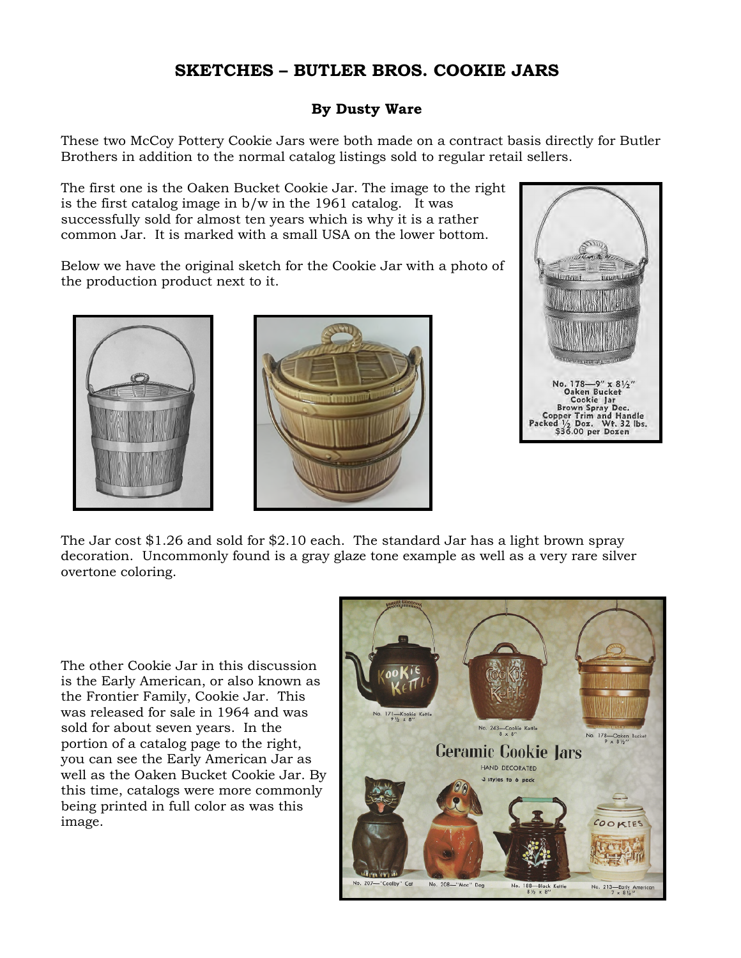## **SKETCHES – BUTLER BROS. COOKIE JARS**

## **By Dusty Ware**

These two McCoy Pottery Cookie Jars were both made on a contract basis directly for Butler Brothers in addition to the normal catalog listings sold to regular retail sellers.

The first one is the Oaken Bucket Cookie Jar. The image to the right is the first catalog image in b/w in the 1961 catalog. It was successfully sold for almost ten years which is why it is a rather common Jar. It is marked with a small USA on the lower bottom.

Below we have the original sketch for the Cookie Jar with a photo of the production product next to it.







The Jar cost \$1.26 and sold for \$2.10 each. The standard Jar has a light brown spray decoration. Uncommonly found is a gray glaze tone example as well as a very rare silver overtone coloring.

The other Cookie Jar in this discussion is the Early American, or also known as the Frontier Family, Cookie Jar. This was released for sale in 1964 and was sold for about seven years. In the portion of a catalog page to the right, you can see the Early American Jar as well as the Oaken Bucket Cookie Jar. By this time, catalogs were more commonly being printed in full color as was this image.